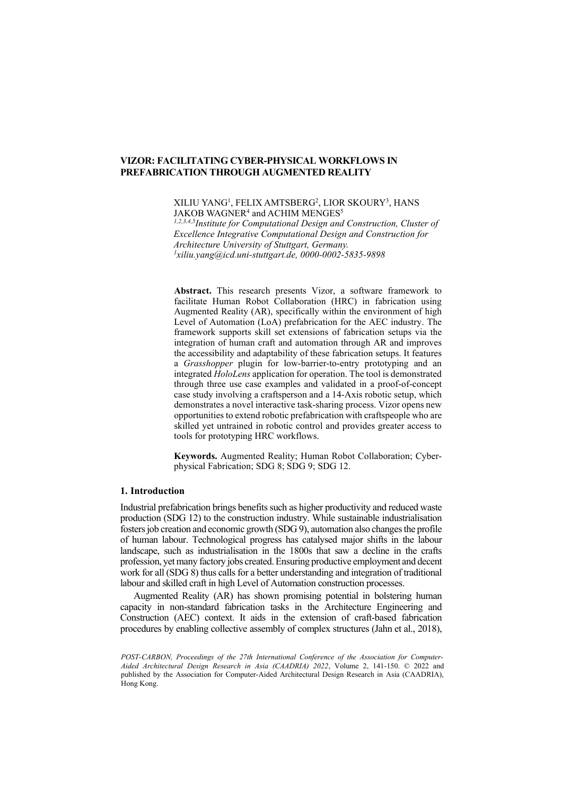XILIU YANG1 , FELIX AMTSBERG2 , LIOR SKOURY3 , HANS JAKOB WAGNER<sup>4</sup> and ACHIM MENGES<sup>5</sup>

*1,2,3,4,5Institute for Computational Design and Construction, Cluster of Excellence Integrative Computational Design and Construction for Architecture University of Stuttgart, Germany. 1 [xiliu.yang@icd.uni-stuttgart.de,](mailto:xiliu.yang@icd.uni-stuttgart.de) 0000-0002-5835-9898*

**Abstract.** This research presents Vizor, a software framework to facilitate Human Robot Collaboration (HRC) in fabrication using Augmented Reality (AR), specifically within the environment of high Level of Automation (LoA) prefabrication for the AEC industry. The framework supports skill set extensions of fabrication setups via the integration of human craft and automation through AR and improves the accessibility and adaptability of these fabrication setups. It features a *Grasshopper* plugin for low-barrier-to-entry prototyping and an integrated *HoloLens* application for operation. The tool is demonstrated through three use case examples and validated in a proof-of-concept case study involving a craftsperson and a 14-Axis robotic setup, which demonstrates a novel interactive task-sharing process. Vizor opens new opportunities to extend robotic prefabrication with craftspeople who are skilled yet untrained in robotic control and provides greater access to tools for prototyping HRC workflows.

**Keywords.** Augmented Reality; Human Robot Collaboration; Cyberphysical Fabrication; SDG 8; SDG 9; SDG 12.

## **1. Introduction**

Industrial prefabrication brings benefits such as higher productivity and reduced waste production (SDG 12) to the construction industry. While sustainable industrialisation fosters job creation and economic growth (SDG 9), automation also changes the profile of human labour. Technological progress has catalysed major shifts in the labour landscape, such as industrialisation in the 1800s that saw a decline in the crafts profession, yet many factory jobs created.Ensuring productive employment and decent work for all (SDG 8) thus calls for a better understanding and integration of traditional labour and skilled craft in high Level of Automation construction processes.

Augmented Reality (AR) has shown promising potential in bolstering human capacity in non-standard fabrication tasks in the Architecture Engineering and Construction (AEC) context. It aids in the extension of craft-based fabrication procedures by enabling collective assembly of complex structures (Jahn et al., 2018),

*POST-CARBON, Proceedings of the 27th International Conference of the Association for Computer-Aided Architectural Design Research in Asia (CAADRIA) 2022*, Volume 2, 141-150. © 2022 and published by the Association for Computer-Aided Architectural Design Research in Asia (CAADRIA), Hong Kong.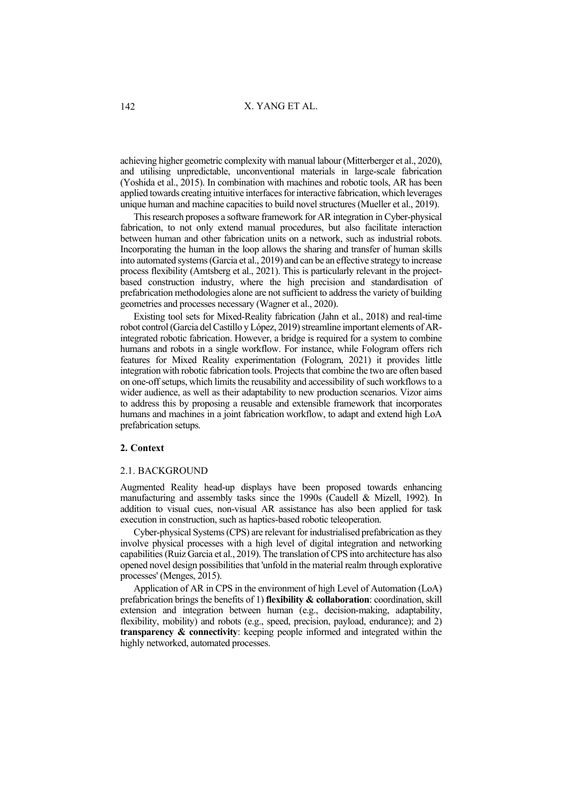achieving higher geometric complexity with manual labour (Mitterberger et al., 2020), and utilising unpredictable, unconventional materials in large-scale fabrication (Yoshida et al., 2015). In combination with machines and robotic tools, AR has been applied towards creating intuitive interfaces for interactive fabrication, which leverages unique human and machine capacities to build novel structures (Mueller et al., 2019).

This research proposes a software framework for AR integration in Cyber-physical fabrication, to not only extend manual procedures, but also facilitate interaction between human and other fabrication units on a network, such as industrial robots. Incorporating the human in the loop allows the sharing and transfer of human skills into automated systems (Garcia et al., 2019) and can be an effective strategy to increase process flexibility (Amtsberg et al., 2021). This is particularly relevant in the projectbased construction industry, where the high precision and standardisation of prefabrication methodologies alone are not sufficient to address the variety of building geometries and processes necessary (Wagner et al., 2020).

Existing tool sets for Mixed-Reality fabrication (Jahn et al., 2018) and real-time robot control (Garcia del Castillo y López, 2019) streamline important elements of ARintegrated robotic fabrication. However, a bridge is required for a system to combine humans and robots in a single workflow. For instance, while Fologram offers rich features for Mixed Reality experimentation (Fologram, 2021) it provides little integration with robotic fabrication tools. Projects that combine the two are often based on one-off setups, which limits the reusability and accessibility of such workflows to a wider audience, as well as their adaptability to new production scenarios. Vizor aims to address this by proposing a reusable and extensible framework that incorporates humans and machines in a joint fabrication workflow, to adapt and extend high LoA prefabrication setups.

### **2. Context**

### 2.1. BACKGROUND

Augmented Reality head-up displays have been proposed towards enhancing manufacturing and assembly tasks since the 1990s (Caudell & Mizell, 1992). In addition to visual cues, non-visual AR assistance has also been applied for task execution in construction, such as haptics-based robotic teleoperation.

Cyber-physical Systems (CPS) are relevant for industrialised prefabrication as they involve physical processes with a high level of digital integration and networking capabilities (Ruiz Garcia et al., 2019). The translation of CPS into architecture has also opened novel design possibilities that 'unfold in the material realm through explorative processes' (Menges, 2015).

Application of AR in CPS in the environment of high Level of Automation (LoA) prefabrication brings the benefits of 1) **flexibility & collaboration**: coordination, skill extension and integration between human (e.g., decision-making, adaptability, flexibility, mobility) and robots (e.g., speed, precision, payload, endurance); and 2) **transparency & connectivity**: keeping people informed and integrated within the highly networked, automated processes.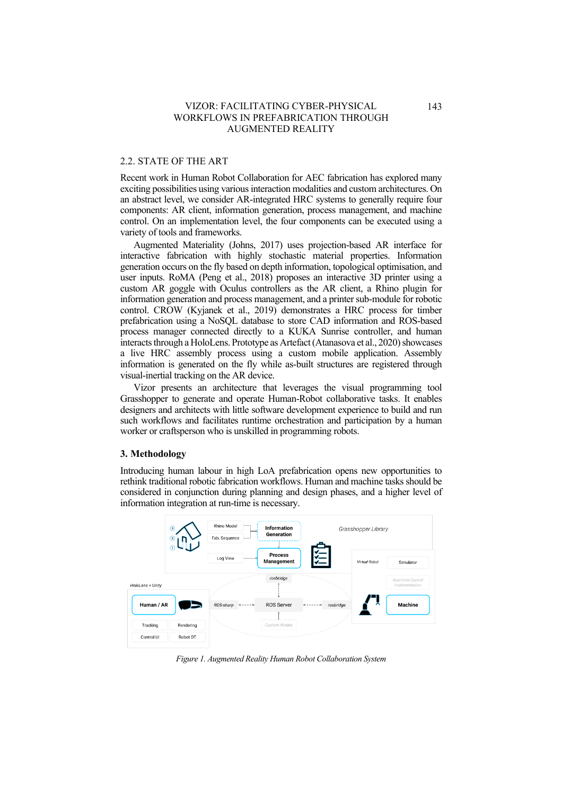## 2.2. STATE OF THE ART

Recent work in Human Robot Collaboration for AEC fabrication has explored many exciting possibilities using various interaction modalities and custom architectures. On an abstract level, we consider AR-integrated HRC systems to generally require four components: AR client, information generation, process management, and machine control. On an implementation level, the four components can be executed using a variety of tools and frameworks.

Augmented Materiality (Johns, 2017) uses projection-based AR interface for interactive fabrication with highly stochastic material properties. Information generation occurs on the fly based on depth information, topological optimisation, and user inputs. RoMA (Peng et al., 2018) proposes an interactive 3D printer using a custom AR goggle with Oculus controllers as the AR client, a Rhino plugin for information generation and process management, and a printer sub-module for robotic control. CROW (Kyjanek et al., 2019) demonstrates a HRC process for timber prefabrication using a NoSQL database to store CAD information and ROS-based process manager connected directly to a KUKA Sunrise controller, and human interacts through a HoloLens. Prototype as Artefact (Atanasova et al., 2020) showcases a live HRC assembly process using a custom mobile application. Assembly information is generated on the fly while as-built structures are registered through visual-inertial tracking on the AR device.

Vizor presents an architecture that leverages the visual programming tool Grasshopper to generate and operate Human-Robot collaborative tasks. It enables designers and architects with little software development experience to build and run such workflows and facilitates runtime orchestration and participation by a human worker or craftsperson who is unskilled in programming robots.

## **3. Methodology**

Introducing human labour in high LoA prefabrication opens new opportunities to rethink traditional robotic fabrication workflows. Human and machine tasks should be considered in conjunction during planning and design phases, and a higher level of information integration at run-time is necessary.



*Figure 1. Augmented Reality Human Robot Collaboration System*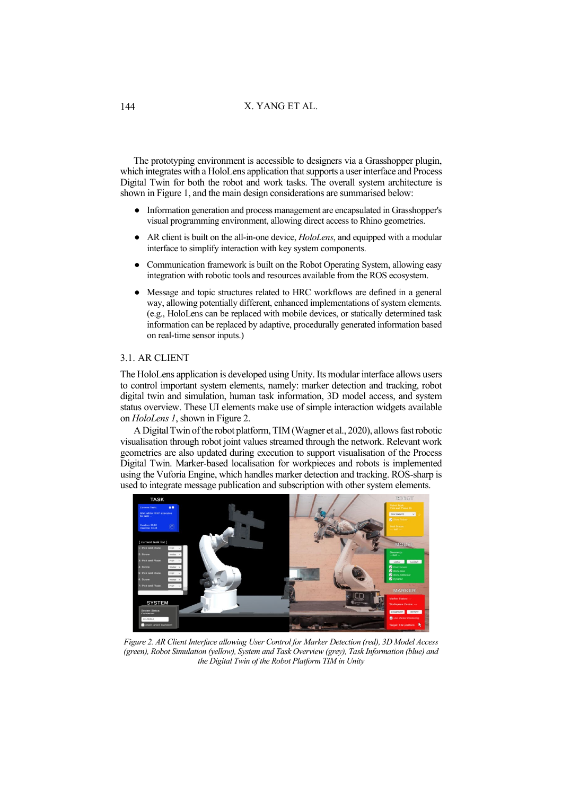# X. YANG ET AL.

The prototyping environment is accessible to designers via a Grasshopper plugin, which integrates with a HoloLens application that supports a user interface and Process Digital Twin for both the robot and work tasks. The overall system architecture is shown in Figure 1, and the main design considerations are summarised below:

- Information generation and process management are encapsulated in Grasshopper's visual programming environment, allowing direct access to Rhino geometries.
- AR client is built on the all-in-one device, *HoloLens*, and equipped with a modular interface to simplify interaction with key system components.
- Communication framework is built on the Robot Operating System, allowing easy integration with robotic tools and resources available from the ROS ecosystem.
- Message and topic structures related to HRC workflows are defined in a general way, allowing potentially different, enhanced implementations of system elements. (e.g., HoloLens can be replaced with mobile devices, or statically determined task information can be replaced by adaptive, procedurally generated information based on real-time sensor inputs.)

# 3.1. AR CLIENT

The HoloLens application is developed using Unity. Its modular interface allows users to control important system elements, namely: marker detection and tracking, robot digital twin and simulation, human task information, 3D model access, and system status overview. These UI elements make use of simple interaction widgets available on *HoloLens 1*, shown in Figure 2.

A Digital Twin of the robot platform, TIM (Wagner et al., 2020), allows fast robotic visualisation through robot joint values streamed through the network. Relevant work geometries are also updated during execution to support visualisation of the Process Digital Twin. Marker-based localisation for workpieces and robots is implemented using the Vuforia Engine, which handles marker detection and tracking. ROS-sharp is used to integrate message publication and subscription with other system elements.



*Figure 2. AR Client Interface allowing User Control for Marker Detection (red), 3D Model Access (green), Robot Simulation (yellow), System and Task Overview (grey), Task Information (blue) and the Digital Twin of the Robot Platform TIM in Unity*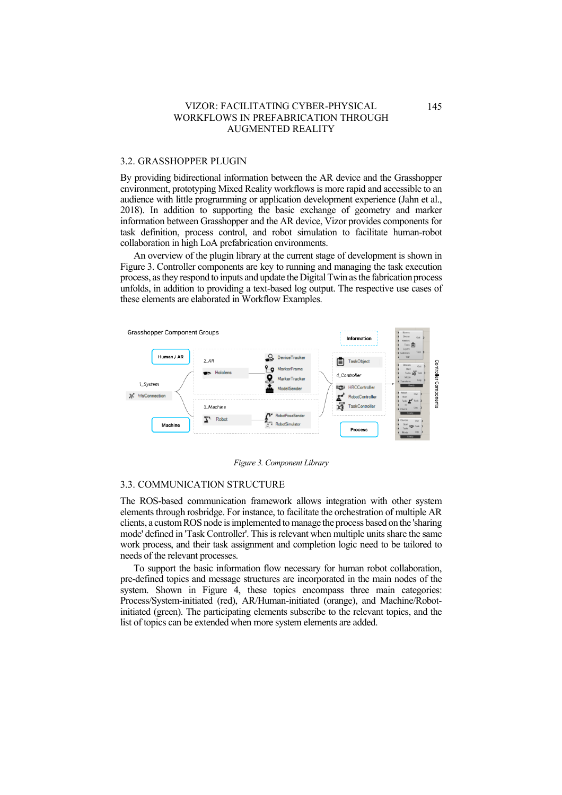### 3.2. GRASSHOPPER PLUGIN

By providing bidirectional information between the AR device and the Grasshopper environment, prototyping Mixed Reality workflows is more rapid and accessible to an audience with little programming or application development experience (Jahn et al., 2018). In addition to supporting the basic exchange of geometry and marker information between Grasshopper and the AR device, Vizor provides components for task definition, process control, and robot simulation to facilitate human-robot collaboration in high LoA prefabrication environments.

An overview of the plugin library at the current stage of development is shown in Figure 3. Controller components are key to running and managing the task execution process, as they respond to inputs and update the Digital Twin as the fabrication process unfolds, in addition to providing a text-based log output. The respective use cases of these elements are elaborated in Workflow Examples.



*Figure 3. Component Library*

#### 3.3. COMMUNICATION STRUCTURE

The ROS-based communication framework allows integration with other system elements through rosbridge. For instance, to facilitate the orchestration of multiple AR clients, a custom ROS node is implemented to manage the process based on the 'sharing mode' defined in 'Task Controller'. This is relevant when multiple units share the same work process, and their task assignment and completion logic need to be tailored to needs of the relevant processes.

To support the basic information flow necessary for human robot collaboration, pre-defined topics and message structures are incorporated in the main nodes of the system. Shown in Figure 4, these topics encompass three main categories: Process/System-initiated (red), AR/Human-initiated (orange), and Machine/Robotinitiated (green). The participating elements subscribe to the relevant topics, and the list of topics can be extended when more system elements are added.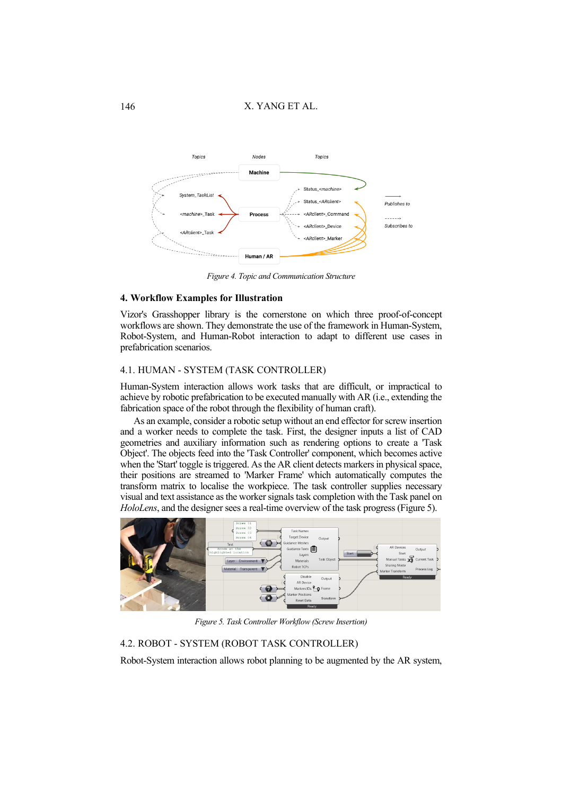# X. YANG ET AL.



*Figure 4. Topic and Communication Structure*

### **4. Workflow Examples for Illustration**

Vizor's Grasshopper library is the cornerstone on which three proof-of-concept workflows are shown. They demonstrate the use of the framework in Human-System, Robot-System, and Human-Robot interaction to adapt to different use cases in prefabrication scenarios.

# 4.1. HUMAN - SYSTEM (TASK CONTROLLER)

Human-System interaction allows work tasks that are difficult, or impractical to achieve by robotic prefabrication to be executed manually with AR (i.e., extending the fabrication space of the robot through the flexibility of human craft).

As an example, consider a robotic setup without an end effector for screw insertion and a worker needs to complete the task. First, the designer inputs a list of CAD geometries and auxiliary information such as rendering options to create a 'Task Object'. The objects feed into the 'Task Controller' component, which becomes active when the 'Start' toggle is triggered. As the AR client detects markers in physical space, their positions are streamed to 'Marker Frame' which automatically computes the transform matrix to localise the workpiece. The task controller supplies necessary visual and text assistance as the worker signals task completion with the Task panel on *HoloLens*, and the designer sees a real-time overview of the task progress (Figure 5).



*Figure 5. Task Controller Workflow (Screw Insertion)*

#### 4.2. ROBOT - SYSTEM (ROBOT TASK CONTROLLER)

Robot-System interaction allows robot planning to be augmented by the AR system,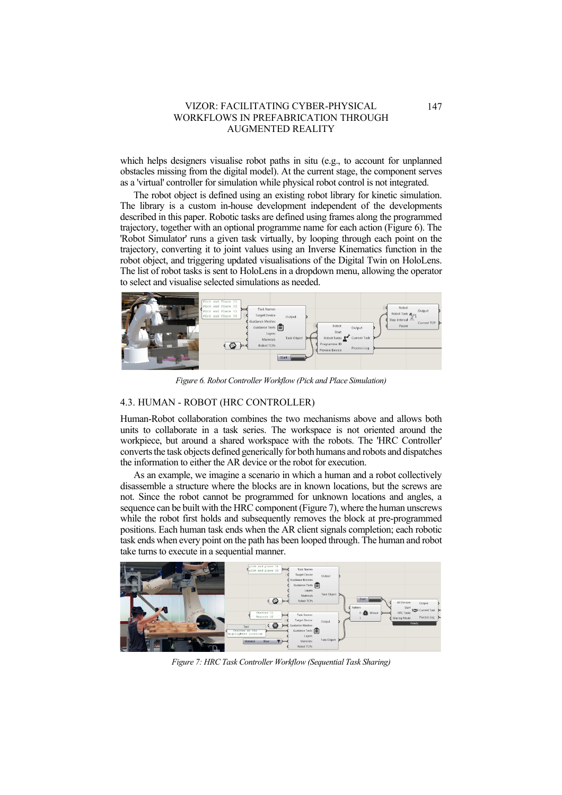which helps designers visualise robot paths in situ (e.g., to account for unplanned obstacles missing from the digital model). At the current stage, the component serves as a 'virtual' controller for simulation while physical robot control is not integrated.

The robot object is defined using an existing robot library for kinetic simulation. The library is a custom in-house development independent of the developments described in this paper. Robotic tasks are defined using frames along the programmed trajectory, together with an optional programme name for each action (Figure 6). The 'Robot Simulator' runs a given task virtually, by looping through each point on the trajectory, converting it to joint values using an Inverse Kinematics function in the robot object, and triggering updated visualisations of the Digital Twin on HoloLens. The list of robot tasks is sent to HoloLens in a dropdown menu, allowing the operator to select and visualise selected simulations as needed.



*Figure 6. Robot Controller Workflow (Pick and Place Simulation)*

# 4.3. HUMAN - ROBOT (HRC CONTROLLER)

Human-Robot collaboration combines the two mechanisms above and allows both units to collaborate in a task series. The workspace is not oriented around the workpiece, but around a shared workspace with the robots. The 'HRC Controller' converts the task objects defined generically for both humans and robots and dispatches the information to either the AR device or the robot for execution.

As an example, we imagine a scenario in which a human and a robot collectively disassemble a structure where the blocks are in known locations, but the screws are not. Since the robot cannot be programmed for unknown locations and angles, a sequence can be built with the HRC component (Figure 7), where the human unscrews while the robot first holds and subsequently removes the block at pre-programmed positions. Each human task ends when the AR client signals completion; each robotic task ends when every point on the path has been looped through. The human and robot take turns to execute in a sequential manner.



*Figure 7: HRC Task Controller Workflow (Sequential Task Sharing)*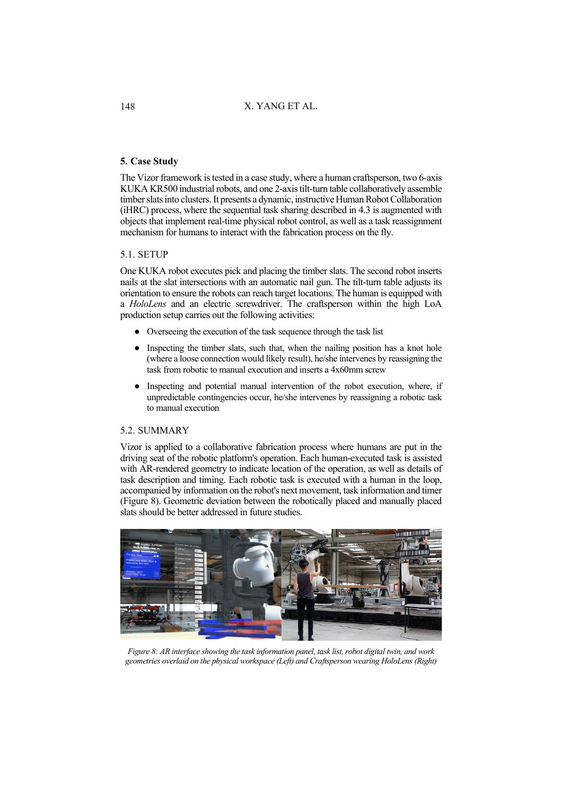# X. YANG ET AL.

# **5. Case Study**

The Vizor framework is tested in a case study, where a human craftsperson, two 6-axis KUKA KR500 industrial robots, and one 2-axis tilt-turn table collaboratively assemble timber slats into clusters. It presents a dynamic, instructive Human Robot Collaboration (iHRC) process, where the sequential task sharing described in 4.3 is augmented with objects that implement real-time physical robot control, as well as a task reassignment mechanism for humans to interact with the fabrication process on the fly.

# 5.1. SETUP

One KUKA robot executes pick and placing the timber slats. The second robot inserts nails at the slat intersections with an automatic nail gun. The tilt-turn table adjusts its orientation to ensure the robots can reach target locations. The human is equipped with a *HoloLens* and an electric screwdriver. The craftsperson within the high LoA production setup carries out the following activities:

- Overseeing the execution of the task sequence through the task list
- Inspecting the timber slats, such that, when the nailing position has a knot hole (where a loose connection would likely result), he/she intervenes by reassigning the task from robotic to manual execution and inserts a 4x60mm screw
- Inspecting and potential manual intervention of the robot execution, where, if unpredictable contingencies occur, he/she intervenes by reassigning a robotic task to manual execution

## 5.2. SUMMARY

Vizor is applied to a collaborative fabrication process where humans are put in the driving seat of the robotic platform's operation. Each human-executed task is assisted with AR-rendered geometry to indicate location of the operation, as well as details of task description and timing. Each robotic task is executed with a human in the loop, accompanied by information on the robot's next movement, task information and timer (Figure 8). Geometric deviation between the robotically placed and manually placed slats should be better addressed in future studies.



*Figure 8: AR interface showing the task information panel, task list, robot digital twin, and work geometries overlaid on the physical workspace (Left) and Craftsperson wearing HoloLens (Right)*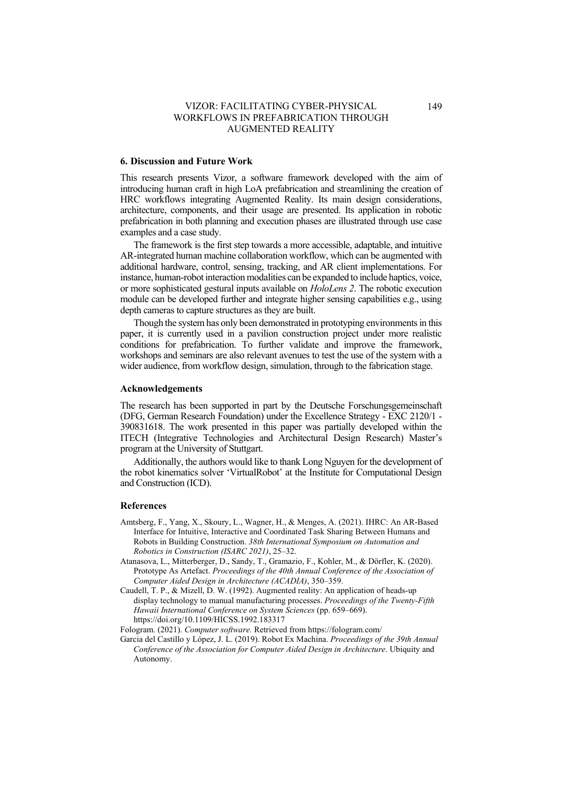### **6. Discussion and Future Work**

This research presents Vizor, a software framework developed with the aim of introducing human craft in high LoA prefabrication and streamlining the creation of HRC workflows integrating Augmented Reality. Its main design considerations, architecture, components, and their usage are presented. Its application in robotic prefabrication in both planning and execution phases are illustrated through use case examples and a case study.

The framework is the first step towards a more accessible, adaptable, and intuitive AR-integrated human machine collaboration workflow, which can be augmented with additional hardware, control, sensing, tracking, and AR client implementations. For instance, human-robot interaction modalities can be expanded to include haptics, voice, or more sophisticated gestural inputs available on *HoloLens 2*. The robotic execution module can be developed further and integrate higher sensing capabilities e.g., using depth cameras to capture structures as they are built.

Though the system has only been demonstrated in prototyping environments in this paper, it is currently used in a pavilion construction project under more realistic conditions for prefabrication. To further validate and improve the framework, workshops and seminars are also relevant avenues to test the use of the system with a wider audience, from workflow design, simulation, through to the fabrication stage.

## **Acknowledgements**

The research has been supported in part by the Deutsche Forschungsgemeinschaft (DFG, German Research Foundation) under the Excellence Strategy - EXC 2120/1 - 390831618. The work presented in this paper was partially developed within the ITECH (Integrative Technologies and Architectural Design Research) Master's program at the University of Stuttgart.

Additionally, the authors would like to thank Long Nguyen for the development of the robot kinematics solver 'VirtualRobot' at the Institute for Computational Design and Construction (ICD).

### **References**

- Amtsberg, F., Yang, X., Skoury, L., Wagner, H., & Menges, A. (2021). IHRC: An AR-Based Interface for Intuitive, Interactive and Coordinated Task Sharing Between Humans and Robots in Building Construction. *38th International Symposium on Automation and Robotics in Construction (ISARC 2021)*, 25–32.
- Atanasova, L., Mitterberger, D., Sandy, T., Gramazio, F., Kohler, M., & Dörfler, K. (2020). Prototype As Artefact. *Proceedings of the 40th Annual Conference of the Association of Computer Aided Design in Architecture (ACADIA)*, 350–359.
- Caudell, T. P., & Mizell, D. W. (1992). Augmented reality: An application of heads-up display technology to manual manufacturing processes. *Proceedings of the Twenty-Fifth Hawaii International Conference on System Sciences* (pp. 659–669). https://doi.org/10.1109/HICSS.1992.183317

Fologram. (2021). *Computer software.* Retrieved from https://fologram.com/

Garcia del Castillo y López, J. L. (2019). Robot Ex Machina. *Proceedings of the 39th Annual Conference of the Association for Computer Aided Design in Architecture*. Ubiquity and Autonomy.